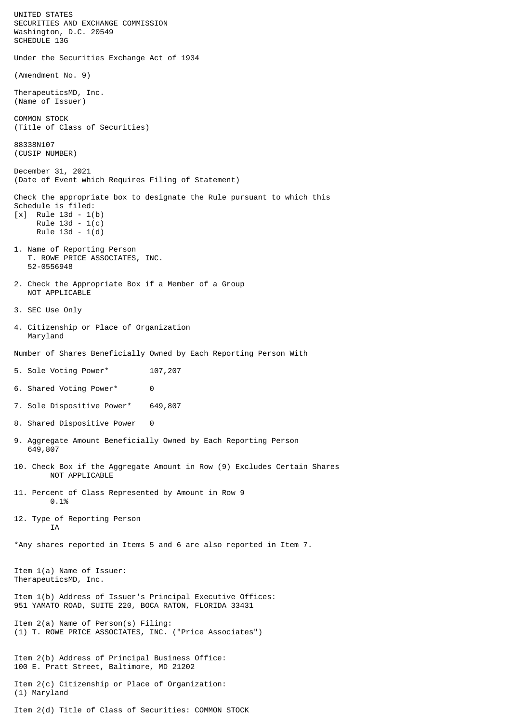UNITED STATES SECURITIES AND EXCHANGE COMMISSION Washington, D.C. 20549 SCHEDULE 13G Under the Securities Exchange Act of 1934 (Amendment No. 9) TherapeuticsMD, Inc. (Name of Issuer) COMMON STOCK (Title of Class of Securities) 88338N107 (CUSIP NUMBER) December 31, 2021 (Date of Event which Requires Filing of Statement) Check the appropriate box to designate the Rule pursuant to which this Schedule is filed: [x] Rule 13d - 1(b) Rule 13d - 1(c) Rule 13d - 1(d) 1. Name of Reporting Person T. ROWE PRICE ASSOCIATES, INC. 52-0556948 2. Check the Appropriate Box if a Member of a Group NOT APPLICABLE 3. SEC Use Only 4. Citizenship or Place of Organization Maryland Number of Shares Beneficially Owned by Each Reporting Person With 5. Sole Voting Power\* 107,207 6. Shared Voting Power\* 0 7. Sole Dispositive Power\* 649,807 8. Shared Dispositive Power 0 9. Aggregate Amount Beneficially Owned by Each Reporting Person 649,807 10. Check Box if the Aggregate Amount in Row (9) Excludes Certain Shares NOT APPLICABLE 11. Percent of Class Represented by Amount in Row 9 0.1% 12. Type of Reporting Person **TA** \*Any shares reported in Items 5 and 6 are also reported in Item 7. Item 1(a) Name of Issuer: TherapeuticsMD, Inc. Item 1(b) Address of Issuer's Principal Executive Offices: 951 YAMATO ROAD, SUITE 220, BOCA RATON, FLORIDA 33431 Item 2(a) Name of Person(s) Filing: (1) T. ROWE PRICE ASSOCIATES, INC. ("Price Associates") Item 2(b) Address of Principal Business Office: 100 E. Pratt Street, Baltimore, MD 21202 Item 2(c) Citizenship or Place of Organization: (1) Maryland Item 2(d) Title of Class of Securities: COMMON STOCK